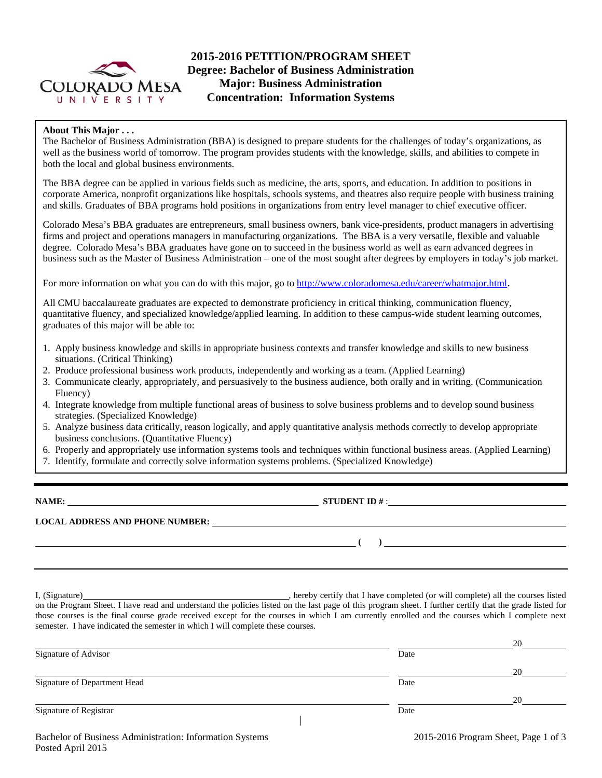

# **2015-2016 PETITION/PROGRAM SHEET Degree: Bachelor of Business Administration Major: Business Administration Concentration: Information Systems**

# **About This Major . . .**

The Bachelor of Business Administration (BBA) is designed to prepare students for the challenges of today's organizations, as well as the business world of tomorrow. The program provides students with the knowledge, skills, and abilities to compete in both the local and global business environments.

The BBA degree can be applied in various fields such as medicine, the arts, sports, and education. In addition to positions in corporate America, nonprofit organizations like hospitals, schools systems, and theatres also require people with business training and skills. Graduates of BBA programs hold positions in organizations from entry level manager to chief executive officer.

Colorado Mesa's BBA graduates are entrepreneurs, small business owners, bank vice-presidents, product managers in advertising firms and project and operations managers in manufacturing organizations. The BBA is a very versatile, flexible and valuable degree. Colorado Mesa's BBA graduates have gone on to succeed in the business world as well as earn advanced degrees in business such as the Master of Business Administration – one of the most sought after degrees by employers in today's job market.

For more information on what you can do with this major, go to http://www.coloradomesa.edu/career/whatmajor.html.

All CMU baccalaureate graduates are expected to demonstrate proficiency in critical thinking, communication fluency, quantitative fluency, and specialized knowledge/applied learning. In addition to these campus-wide student learning outcomes, graduates of this major will be able to:

- 1. Apply business knowledge and skills in appropriate business contexts and transfer knowledge and skills to new business situations. (Critical Thinking)
- 2. Produce professional business work products, independently and working as a team. (Applied Learning)
- 3. Communicate clearly, appropriately, and persuasively to the business audience, both orally and in writing. (Communication Fluency)
- 4. Integrate knowledge from multiple functional areas of business to solve business problems and to develop sound business strategies. (Specialized Knowledge)
- 5. Analyze business data critically, reason logically, and apply quantitative analysis methods correctly to develop appropriate business conclusions. (Quantitative Fluency)
- 6. Properly and appropriately use information systems tools and techniques within functional business areas. (Applied Learning)
- 7. Identify, formulate and correctly solve information systems problems. (Specialized Knowledge)

**NAME: STUDENT ID** # : **STUDENT ID** # : **STUDENT ID** # : **STUDENT ID** + : **STUDENT ID** + : **STUDENT ID** + : **STUDENT ID** + : **STUDENT ID** + : **STUDENT ID** + : **STUDENT ID** + : **STUDENT ID** + : **STUDENT ID** + : **STUDENT I** 

**LOCAL ADDRESS AND PHONE NUMBER:**

 **( )** 

I, (Signature) , hereby certify that I have completed (or will complete) all the courses listed on the Program Sheet. I have read and understand the policies listed on the last page of this program sheet. I further certify that the grade listed for those courses is the final course grade received except for the courses in which I am currently enrolled and the courses which I complete next semester. I have indicated the semester in which I will complete these courses.

|                              |      | 20 |
|------------------------------|------|----|
| Signature of Advisor         | Date |    |
|                              |      | 20 |
| Signature of Department Head | Date |    |
|                              |      | 20 |
| Signature of Registrar       | Date |    |
|                              |      |    |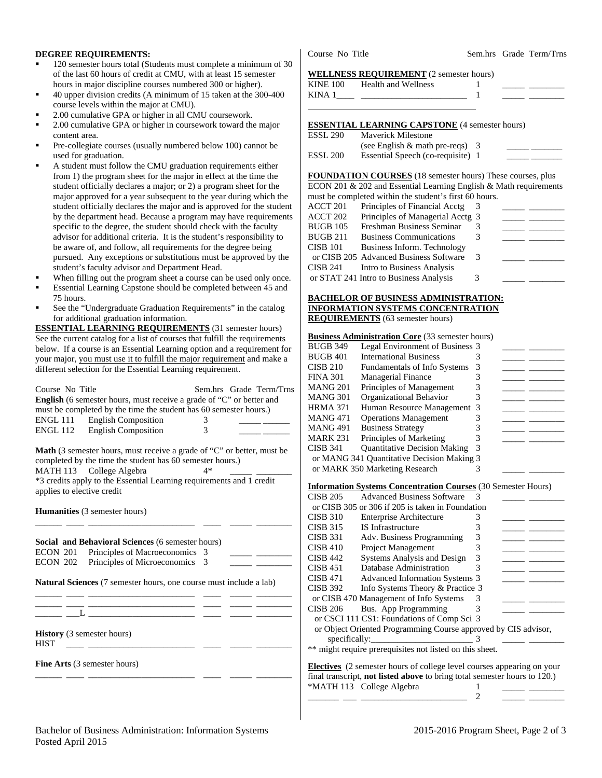### **DEGREE REQUIREMENTS:**

- 120 semester hours total (Students must complete a minimum of 30 of the last 60 hours of credit at CMU, with at least 15 semester hours in major discipline courses numbered 300 or higher).
- 40 upper division credits (A minimum of 15 taken at the 300-400 course levels within the major at CMU).
- 2.00 cumulative GPA or higher in all CMU coursework.
- 2.00 cumulative GPA or higher in coursework toward the major content area.
- Pre-collegiate courses (usually numbered below 100) cannot be used for graduation.
- A student must follow the CMU graduation requirements either from 1) the program sheet for the major in effect at the time the student officially declares a major; or 2) a program sheet for the major approved for a year subsequent to the year during which the student officially declares the major and is approved for the student by the department head. Because a program may have requirements specific to the degree, the student should check with the faculty advisor for additional criteria. It is the student's responsibility to be aware of, and follow, all requirements for the degree being pursued. Any exceptions or substitutions must be approved by the student's faculty advisor and Department Head.
- When filling out the program sheet a course can be used only once.
- Essential Learning Capstone should be completed between 45 and 75 hours.
- See the "Undergraduate Graduation Requirements" in the catalog for additional graduation information.

**ESSENTIAL LEARNING REQUIREMENTS** (31 semester hours) See the current catalog for a list of courses that fulfill the requirements below. If a course is an Essential Learning option and a requirement for your major, you must use it to fulfill the major requirement and make a different selection for the Essential Learning requirement.

| Course No Title<br><b>ENGL 112</b>               | <b>English</b> (6 semester hours, must receive a grade of "C" or better and<br>must be completed by the time the student has 60 semester hours.)<br>ENGL 111 English Composition<br><b>English Composition</b> | 3<br>3 | Sem.hrs Grade Term/Trns |
|--------------------------------------------------|----------------------------------------------------------------------------------------------------------------------------------------------------------------------------------------------------------------|--------|-------------------------|
|                                                  | <b>Math</b> (3 semester hours, must receive a grade of "C" or better, must be<br>completed by the time the student has 60 semester hours.)                                                                     |        |                         |
|                                                  | MATH 113 College Algebra                                                                                                                                                                                       | $4*$   |                         |
| applies to elective credit                       | *3 credits apply to the Essential Learning requirements and 1 credit                                                                                                                                           |        |                         |
|                                                  | <b>Humanities</b> (3 semester hours)                                                                                                                                                                           |        |                         |
| ECON 201<br>ECON 202                             | Social and Behavioral Sciences (6 semester hours)<br>Principles of Macroeconomics<br>Principles of Microeconomics                                                                                              | 3<br>3 |                         |
|                                                  | <b>Natural Sciences</b> (7 semester hours, one course must include a lab)                                                                                                                                      |        |                         |
|                                                  | the control of the control of the control of the control of the control of the control of                                                                                                                      |        |                         |
| <b>History</b> (3 semester hours)<br><b>HIST</b> |                                                                                                                                                                                                                |        |                         |
|                                                  | <b>Fine Arts</b> (3 semester hours)                                                                                                                                                                            |        |                         |
|                                                  |                                                                                                                                                                                                                |        |                         |

Course No Title Sem.hrs Grade Term/Trns

#### **WELLNESS REQUIREMENT** (2 semester hours)

| <b>KINE 100</b> | <b>Health and Wellness</b>                            |  |
|-----------------|-------------------------------------------------------|--|
|                 |                                                       |  |
|                 |                                                       |  |
|                 |                                                       |  |
|                 | <b>ESSENTIAL LEARNING CAPSTONE</b> (4 semester hours) |  |
| <b>ESSL 290</b> | <b>Maverick Milestone</b>                             |  |
|                 | (see English $&$ math pre-reqs) 3                     |  |
| <b>ESSL 200</b> | Essential Speech (co-requisite) 1                     |  |

**FOUNDATION COURSES** (18 semester hours) These courses, plus ECON 201 & 202 and Essential Learning English & Math requirements must be completed within the student's first 60 hours.

| ACCT 201        | Principles of Financial Acctg          |   |  |
|-----------------|----------------------------------------|---|--|
| ACCT 202        | Principles of Managerial Acctg 3       |   |  |
| <b>BUGB 105</b> | Freshman Business Seminar              |   |  |
| <b>BUGB 211</b> | <b>Business Communications</b>         |   |  |
| <b>CISB 101</b> | Business Inform. Technology            |   |  |
|                 | or CISB 205 Advanced Business Software | 3 |  |
| CISB 241        | Intro to Business Analysis             |   |  |
|                 | or STAT 241 Intro to Business Analysis | 3 |  |
|                 |                                        |   |  |

#### **BACHELOR OF BUSINESS ADMINISTRATION: INFORMATION SYSTEMS CONCENTRATION REQUIREMENTS** (63 semester hours)

### **Business Administration Core** (33 semester hours)

| <b>BUGB 349</b> | Legal Environment of Business 3            |   |  |
|-----------------|--------------------------------------------|---|--|
|                 |                                            |   |  |
| BUGB 401        | <b>International Business</b>              |   |  |
| CISB 210        | Fundamentals of Info Systems               |   |  |
| FINA 301        | <b>Managerial Finance</b>                  |   |  |
| MANG 201        | Principles of Management                   |   |  |
| MANG 301        | Organizational Behavior                    |   |  |
| HRMA 371        | Human Resource Management 3                |   |  |
| MANG 471        | <b>Operations Management</b>               |   |  |
| MANG 491        | <b>Business Strategy</b>                   |   |  |
| MARK 231        | Principles of Marketing                    |   |  |
| CISB 341        | <b>Quantitative Decision Making</b>        | 3 |  |
|                 | or MANG 341 Quantitative Decision Making 3 |   |  |
|                 | or MARK 350 Marketing Research             |   |  |
|                 |                                            |   |  |

#### **Information Systems Concentration Courses** (30 Semester Hours)

| <b>CISB 205</b><br><b>Advanced Business Software</b><br>or CISB 305 or 306 if 205 is taken in Foundation<br><b>CISB 310</b><br><b>Enterprise Architecture</b><br><b>CISB 315</b><br><b>IS</b> Infrastructure<br><b>CISB 331</b><br>Adv. Business Programming<br><b>Project Management</b><br>CISB 410<br>Systems Analysis and Design<br><b>CISB 442</b><br>Database Administration<br><b>CISB 451</b><br><b>CISB 471</b><br><b>Advanced Information Systems 3</b><br><b>CISB 392</b><br>Info Systems Theory & Practice 3<br>or CISB 470 Management of Info Systems | 3<br>3<br>3 |  |
|--------------------------------------------------------------------------------------------------------------------------------------------------------------------------------------------------------------------------------------------------------------------------------------------------------------------------------------------------------------------------------------------------------------------------------------------------------------------------------------------------------------------------------------------------------------------|-------------|--|
|                                                                                                                                                                                                                                                                                                                                                                                                                                                                                                                                                                    |             |  |
|                                                                                                                                                                                                                                                                                                                                                                                                                                                                                                                                                                    |             |  |
|                                                                                                                                                                                                                                                                                                                                                                                                                                                                                                                                                                    |             |  |
|                                                                                                                                                                                                                                                                                                                                                                                                                                                                                                                                                                    |             |  |
|                                                                                                                                                                                                                                                                                                                                                                                                                                                                                                                                                                    |             |  |
|                                                                                                                                                                                                                                                                                                                                                                                                                                                                                                                                                                    |             |  |
|                                                                                                                                                                                                                                                                                                                                                                                                                                                                                                                                                                    |             |  |
|                                                                                                                                                                                                                                                                                                                                                                                                                                                                                                                                                                    | 3           |  |
|                                                                                                                                                                                                                                                                                                                                                                                                                                                                                                                                                                    |             |  |
|                                                                                                                                                                                                                                                                                                                                                                                                                                                                                                                                                                    |             |  |
|                                                                                                                                                                                                                                                                                                                                                                                                                                                                                                                                                                    |             |  |
| Bus. App Programming<br><b>CISB 206</b>                                                                                                                                                                                                                                                                                                                                                                                                                                                                                                                            |             |  |
| or CSCI 111 CS1: Foundations of Comp Sci 3                                                                                                                                                                                                                                                                                                                                                                                                                                                                                                                         |             |  |
| or Object Oriented Programming Course approved by CIS advisor,                                                                                                                                                                                                                                                                                                                                                                                                                                                                                                     |             |  |
| specifically:                                                                                                                                                                                                                                                                                                                                                                                                                                                                                                                                                      |             |  |
| ** might require prerequisites not listed on this sheet.                                                                                                                                                                                                                                                                                                                                                                                                                                                                                                           |             |  |
| <b>Electives</b> (2 semester hours of college level courses appearing on your                                                                                                                                                                                                                                                                                                                                                                                                                                                                                      |             |  |

**Electives** (2 semester hours of college level courses appearing on your final transcript, **not listed above** to bring total semester hours to 120.) \*MATH 113 College Algebra 1 \_\_\_\_\_ \_\_\_\_\_\_\_\_ \_\_\_\_\_\_\_ \_\_\_ \_\_\_\_\_\_\_\_\_\_\_\_\_\_\_\_\_\_\_\_\_\_\_\_ 2 \_\_\_\_\_ \_\_\_\_\_\_\_\_